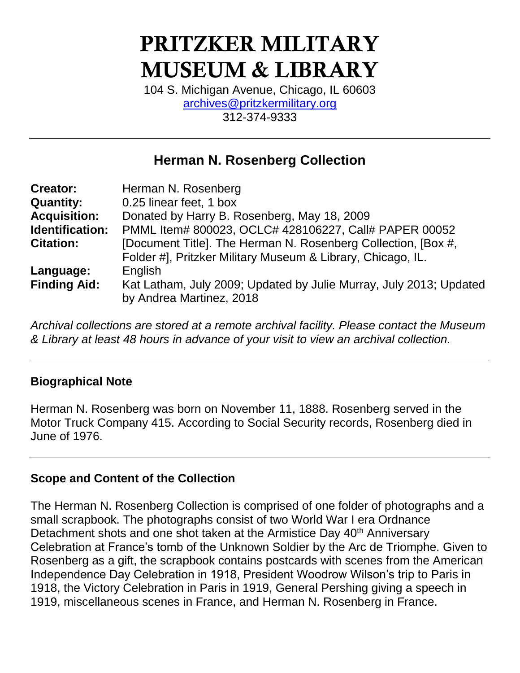# PRITZKER MILITARY MUSEUM & LIBRARY

104 S. Michigan Avenue, Chicago, IL 60603 [archives@pritzkermilitary.org](mailto:archives@pritzkermilitary.org) 312-374-9333

# **Herman N. Rosenberg Collection**

| <b>Creator:</b>     | Herman N. Rosenberg                                                                                                          |
|---------------------|------------------------------------------------------------------------------------------------------------------------------|
| <b>Quantity:</b>    | 0.25 linear feet, 1 box                                                                                                      |
| <b>Acquisition:</b> | Donated by Harry B. Rosenberg, May 18, 2009                                                                                  |
| Identification:     | PMML Item# 800023, OCLC# 428106227, Call# PAPER 00052                                                                        |
| <b>Citation:</b>    | [Document Title]. The Herman N. Rosenberg Collection, [Box #,<br>Folder #], Pritzker Military Museum & Library, Chicago, IL. |
| Language:           | English                                                                                                                      |
| <b>Finding Aid:</b> | Kat Latham, July 2009; Updated by Julie Murray, July 2013; Updated<br>by Andrea Martinez, 2018                               |

*Archival collections are stored at a remote archival facility. Please contact the Museum & Library at least 48 hours in advance of your visit to view an archival collection.*

## **Biographical Note**

Herman N. Rosenberg was born on November 11, 1888. Rosenberg served in the Motor Truck Company 415. According to Social Security records, Rosenberg died in June of 1976.

## **Scope and Content of the Collection**

The Herman N. Rosenberg Collection is comprised of one folder of photographs and a small scrapbook. The photographs consist of two World War I era Ordnance Detachment shots and one shot taken at the Armistice Day 40<sup>th</sup> Anniversary Celebration at France's tomb of the Unknown Soldier by the Arc de Triomphe. Given to Rosenberg as a gift, the scrapbook contains postcards with scenes from the American Independence Day Celebration in 1918, President Woodrow Wilson's trip to Paris in 1918, the Victory Celebration in Paris in 1919, General Pershing giving a speech in 1919, miscellaneous scenes in France, and Herman N. Rosenberg in France.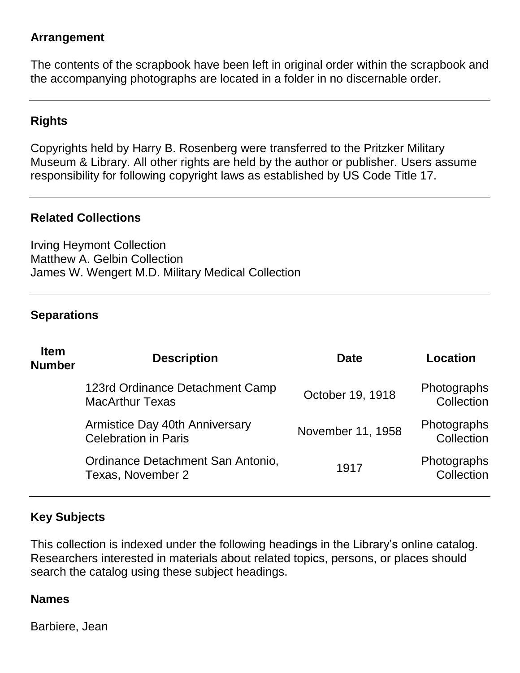#### **Arrangement**

The contents of the scrapbook have been left in original order within the scrapbook and the accompanying photographs are located in a folder in no discernable order.

## **Rights**

Copyrights held by Harry B. Rosenberg were transferred to the Pritzker Military Museum & Library. All other rights are held by the author or publisher. Users assume responsibility for following copyright laws as established by US Code Title 17.

#### **Related Collections**

Irving Heymont Collection Matthew A. Gelbin Collection James W. Wengert M.D. Military Medical Collection

#### **Separations**

| <b>Item</b><br><b>Number</b> | <b>Description</b>                                            | <b>Date</b>       | Location                  |
|------------------------------|---------------------------------------------------------------|-------------------|---------------------------|
|                              | 123rd Ordinance Detachment Camp<br><b>MacArthur Texas</b>     | October 19, 1918  | Photographs<br>Collection |
|                              | Armistice Day 40th Anniversary<br><b>Celebration in Paris</b> | November 11, 1958 | Photographs<br>Collection |
|                              | Ordinance Detachment San Antonio,<br>Texas, November 2        | 1917              | Photographs<br>Collection |

## **Key Subjects**

This collection is indexed under the following headings in the Library's online catalog. Researchers interested in materials about related topics, persons, or places should search the catalog using these subject headings.

#### **Names**

Barbiere, Jean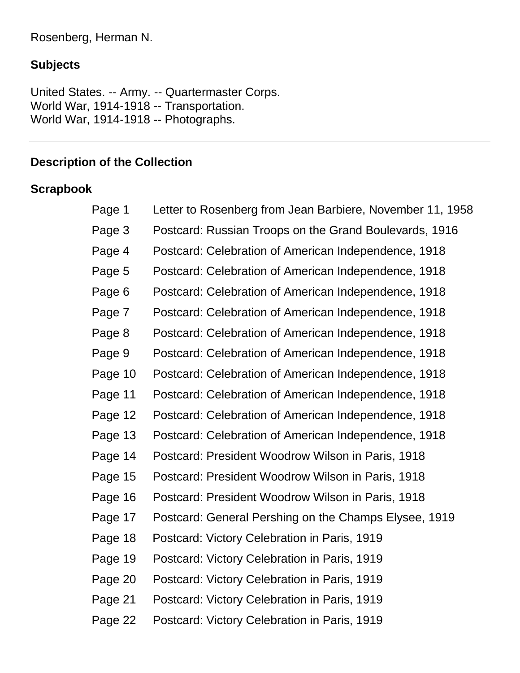# **Subjects**

United States. -- Army. -- Quartermaster Corps. World War, 1914-1918 -- Transportation. World War, 1914-1918 -- Photographs.

# **Description of the Collection**

# **Scrapbook**

| Page 1  | Letter to Rosenberg from Jean Barbiere, November 11, 1958 |
|---------|-----------------------------------------------------------|
| Page 3  | Postcard: Russian Troops on the Grand Boulevards, 1916    |
| Page 4  | Postcard: Celebration of American Independence, 1918      |
| Page 5  | Postcard: Celebration of American Independence, 1918      |
| Page 6  | Postcard: Celebration of American Independence, 1918      |
| Page 7  | Postcard: Celebration of American Independence, 1918      |
| Page 8  | Postcard: Celebration of American Independence, 1918      |
| Page 9  | Postcard: Celebration of American Independence, 1918      |
| Page 10 | Postcard: Celebration of American Independence, 1918      |
| Page 11 | Postcard: Celebration of American Independence, 1918      |
| Page 12 | Postcard: Celebration of American Independence, 1918      |
| Page 13 | Postcard: Celebration of American Independence, 1918      |
| Page 14 | Postcard: President Woodrow Wilson in Paris, 1918         |
| Page 15 | Postcard: President Woodrow Wilson in Paris, 1918         |
| Page 16 | Postcard: President Woodrow Wilson in Paris, 1918         |
| Page 17 | Postcard: General Pershing on the Champs Elysee, 1919     |
| Page 18 | Postcard: Victory Celebration in Paris, 1919              |
| Page 19 | Postcard: Victory Celebration in Paris, 1919              |
| Page 20 | Postcard: Victory Celebration in Paris, 1919              |
| Page 21 | Postcard: Victory Celebration in Paris, 1919              |
| Page 22 | Postcard: Victory Celebration in Paris, 1919              |